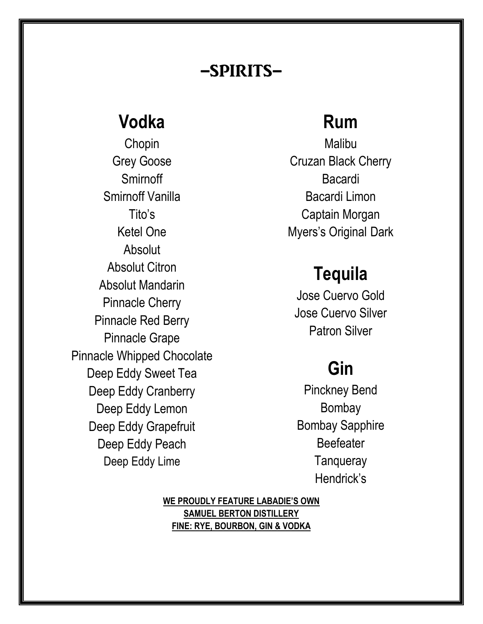### -spirits-

## **Vodka**

Chopin Grey Goose **Smirnoff** Smirnoff Vanilla Tito's Ketel One Absolut Absolut Citron Absolut Mandarin Pinnacle Cherry Pinnacle Red Berry Pinnacle Grape Pinnacle Whipped Chocolate Deep Eddy Sweet Tea Deep Eddy Cranberry Deep Eddy Lemon Deep Eddy Grapefruit Deep Eddy Peach Deep Eddy Lime

## **Rum**

Malibu Cruzan Black Cherry Bacardi Bacardi Limon Captain Morgan Myers's Original Dark

## **Tequila**

Jose Cuervo Gold Jose Cuervo Silver Patron Silver

# **Gin**

Pinckney Bend Bombay Bombay Sapphire Beefeater **Tanqueray** Hendrick's

**WE PROUDLY FEATURE LABADIE'S OWN SAMUEL BERTON DISTILLERY FINE: RYE, BOURBON, GIN & VODKA**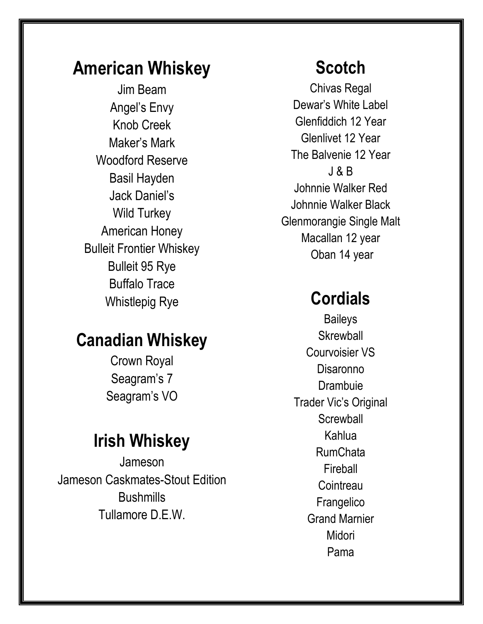## **American Whiskey**

Jim Beam Angel's Envy Knob Creek Maker's Mark Woodford Reserve Basil Hayden Jack Daniel's Wild Turkey American Honey Bulleit Frontier Whiskey Bulleit 95 Rye Buffalo Trace Whistlepig Rye

## **Canadian Whiskey**

Crown Royal Seagram's 7 Seagram's VO

### **Irish Whiskey**

Jameson Jameson Caskmates-Stout Edition **Bushmills** Tullamore D.E.W.

## **Scotch**

Chivas Regal Dewar's White Label Glenfiddich 12 Year Glenlivet 12 Year The Balvenie 12 Year J & B Johnnie Walker Red Johnnie Walker Black Glenmorangie Single Malt Macallan 12 year Oban 14 year

## **Cordials**

**Baileys Skrewball** Courvoisier VS Disaronno **Drambuie** Trader Vic's Original **Screwball** Kahlua RumChata Fireball **Cointreau Frangelico** Grand Marnier Midori Pama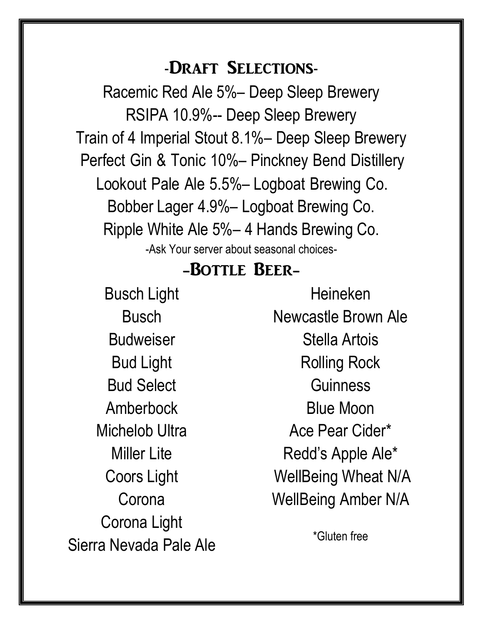### -Draft Selections-

Racemic Red Ale 5%– Deep Sleep Brewery RSIPA 10.9%-- Deep Sleep Brewery Train of 4 Imperial Stout 8.1%– Deep Sleep Brewery Bobber Lager 4.9%– Logboat Brewing Co. Ripple White Ale 5%– 4 Hands Brewing Co. -Ask Your server about seasonal choices- Lookout Pale Ale 5.5%– Logboat Brewing Co. Perfect Gin & Tonic 10%– Pinckney Bend Distillery

### -Bottle Beer-

Busch Light Busch Budweiser Bud Light Bud Select Amberbock Michelob Ultra Miller Lite Coors Light **Corona** Corona Light Sierra Nevada Pale Ale

Heineken Newcastle Brown Ale Stella Artois Rolling Rock **Guinness** Blue Moon Ace Pear Cider\* Redd's Apple Ale\* WellBeing Wheat N/A WellBeing Amber N/A

\*Gluten free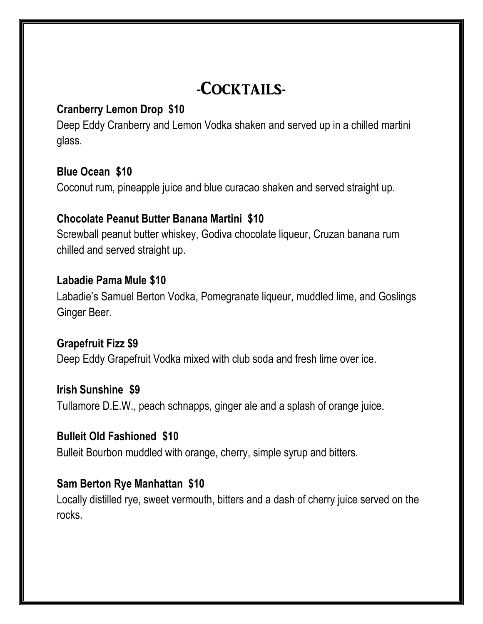## -COCKTAILS-

#### **Cranberry Lemon Drop \$10**

Deep Eddy Cranberry and Lemon Vodka shaken and served up in a chilled martini glass.

#### **Blue Ocean \$10**

Coconut rum, pineapple juice and blue curacao shaken and served straight up.

#### **Chocolate Peanut Butter Banana Martini \$10**

Screwball peanut butter whiskey, Godiva chocolate liqueur, Cruzan banana rum chilled and served straight up.

#### **Labadie Pama Mule \$10**

Labadie's Samuel Berton Vodka, Pomegranate liqueur, muddled lime, and Goslings Ginger Beer.

#### **Grapefruit Fizz \$9**

Deep Eddy Grapefruit Vodka mixed with club soda and fresh lime over ice.

#### **Irish Sunshine \$9**

Tullamore D.E.W., peach schnapps, ginger ale and a splash of orange juice.

#### **Bulleit Old Fashioned \$10**

Bulleit Bourbon muddled with orange, cherry, simple syrup and bitters.

#### **Sam Berton Rye Manhattan \$10**

Locally distilled rye, sweet vermouth, bitters and a dash of cherry juice served on the rocks.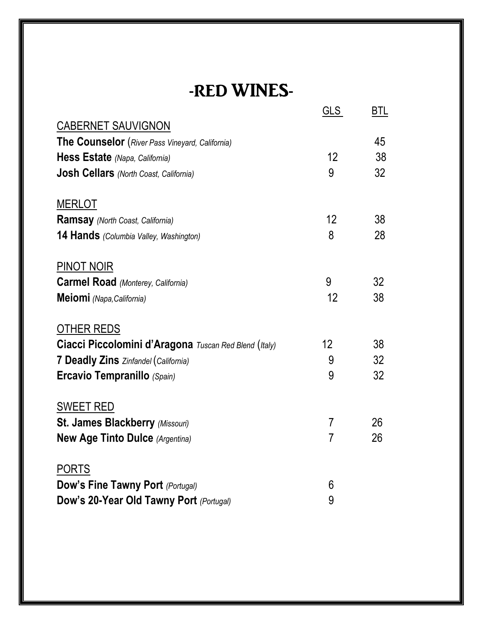# -RED WINES-

|                                                       | <u>GLS</u>        | <u>BTL</u> |
|-------------------------------------------------------|-------------------|------------|
| <b>CABERNET SAUVIGNON</b>                             |                   |            |
| The Counselor (River Pass Vineyard, California)       |                   | 45         |
| Hess Estate (Napa, California)                        | 12                | 38         |
| <b>Josh Cellars</b> (North Coast, California)         | 9                 | 32         |
| <b>MERLOT</b>                                         |                   |            |
| <b>Ramsay</b> (North Coast, California)               | $12 \overline{ }$ | 38         |
| 14 Hands (Columbia Valley, Washington)                | 8                 | 28         |
| <b>PINOT NOIR</b>                                     |                   |            |
| <b>Carmel Road</b> (Monterey, California)             | 9                 | 32         |
| Meiomi (Napa, California)                             | 12                | 38         |
| OTHER REDS                                            |                   |            |
| Ciacci Piccolomini d'Aragona Tuscan Red Blend (Italy) | 12 <sup>2</sup>   | 38         |
| 7 Deadly Zins Zinfandel (California)                  | 9                 | 32         |
| <b>Ercavio Tempranillo (Spain)</b>                    | 9                 | 32         |
| <b>SWEET RED</b>                                      |                   |            |
| St. James Blackberry (Missouri)                       | $\overline{7}$    | 26         |
| <b>New Age Tinto Dulce (Argentina)</b>                | $\overline{7}$    | 26         |
| <b>PORTS</b>                                          |                   |            |
| <b>Dow's Fine Tawny Port (Portugal)</b>               | 6                 |            |
| Dow's 20-Year Old Tawny Port (Portugal)               | 9                 |            |